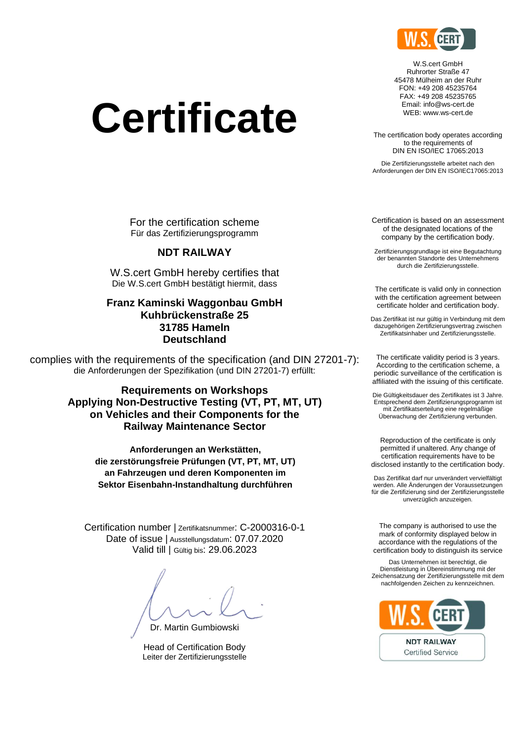

W.S.cert GmbH Ruhrorter Straße 47 45478 Mülheim an der Ruhr FON: +49 208 45235764 FAX: +49 208 45235765 Email: info@ws-cert.de WEB: www.ws-cert.de

The certification body operates according to the requirements of DIN EN ISO/IEC 17065:2013

Die Zertifizierungsstelle arbeitet nach den Anforderungen der DIN EN ISO/IEC17065:2013

For the certification scheme Für das Zertifizierungsprogramm

**NDT RAILWAY**

**Certificate**

W.S.cert GmbH hereby certifies that Die W.S.cert GmbH bestätigt hiermit, dass

**Franz Kaminski Waggonbau GmbH Kuhbrückenstraße 25 31785 Hameln Deutschland**

complies with the requirements of the specification (and DIN 27201-7): die Anforderungen der Spezifikation (und DIN 27201-7) erfüllt:

> **Requirements on Workshops Applying Non-Destructive Testing (VT, PT, MT, UT) on Vehicles and their Components for the Railway Maintenance Sector**

> > **Anforderungen an Werkstätten, die zerstörungsfreie Prüfungen (VT, PT, MT, UT) an Fahrzeugen und deren Komponenten im Sektor Eisenbahn-Instandhaltung durchführen**

Certification number | Zertifikatsnummer: C-2000316-0-1 Date of issue | Ausstellungsdatum: 07.07.2020 Valid till | Gültig bis: 29.06.2023

Dr. Martin Gumbiowski

Head of Certification Body Leiter der Zertifizierungsstelle Certification is based on an assessment of the designated locations of the company by the certification body.

Zertifizierungsgrundlage ist eine Begutachtung der benannten Standorte des Unternehmens durch die Zertifizierungsstelle.

The certificate is valid only in connection with the certification agreement between certificate holder and certification body.

Das Zertifikat ist nur gültig in Verbindung mit dem dazugehörigen Zertifizierungsvertrag zwischen Zertifikatsinhaber und Zertifizierungsstelle.

The certificate validity period is 3 years. According to the certification scheme, a periodic surveillance of the certification is affiliated with the issuing of this certificate.

Die Gültigkeitsdauer des Zertifikates ist 3 Jahre. Entsprechend dem Zertifizierungsprogramm ist mit Zertifikatserteilung eine regelmäßige Überwachung der Zertifizierung verbunden.

Reproduction of the certificate is only permitted if unaltered. Any change of certification requirements have to be disclosed instantly to the certification body.

Das Zertifikat darf nur unverändert vervielfältigt werden. Alle Änderungen der Voraussetzungen für die Zertifizierung sind der Zertifizierungsstelle unverzüglich anzuzeigen.

The company is authorised to use the mark of conformity displayed below in accordance with the regulations of the certification body to distinguish its service

Das Unternehmen ist berechtigt, die Dienstleistung in Übereinstimmung mit der Zeichensatzung der Zertifizierungsstelle mit dem nachfolgenden Zeichen zu kennzeichnen.